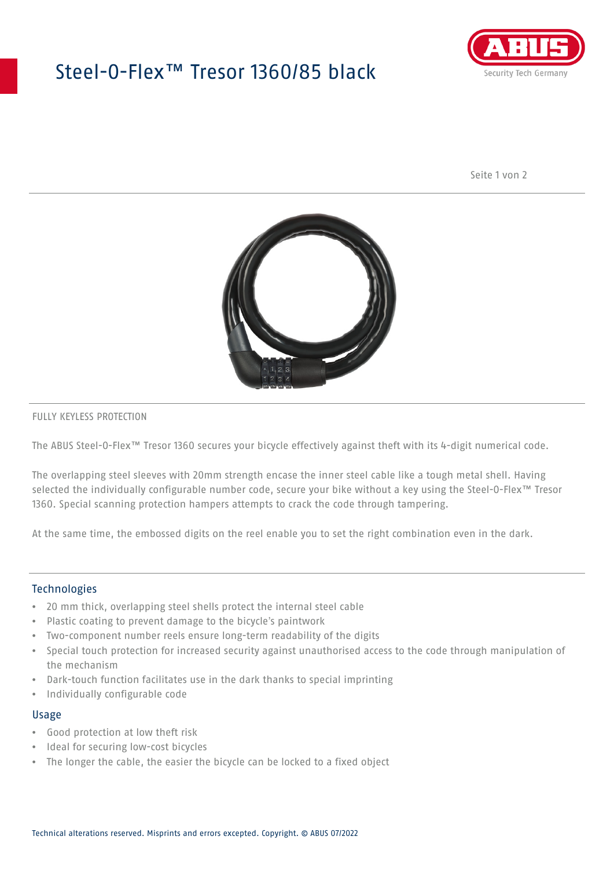# Steel-O-Flex™ Tresor 1360/85 black



Seite 1 von 2



#### FULLY KEYLESS PROTECTION

The ABUS Steel-O-Flex™ Tresor 1360 secures your bicycle effectively against theft with its 4-digit numerical code.

The overlapping steel sleeves with 20mm strength encase the inner steel cable like a tough metal shell. Having selected the individually configurable number code, secure your bike without a key using the Steel-O-Flex™ Tresor 1360. Special scanning protection hampers attempts to crack the code through tampering.

At the same time, the embossed digits on the reel enable you to set the right combination even in the dark.

### Technologies

- 20 mm thick, overlapping steel shells protect the internal steel cable
- Plastic coating to prevent damage to the bicycle's paintwork
- Two-component number reels ensure long-term readability of the digits
- Special touch protection for increased security against unauthorised access to the code through manipulation of the mechanism
- Dark-touch function facilitates use in the dark thanks to special imprinting
- Individually configurable code

#### Usage

- Good protection at low theft risk
- Ideal for securing low-cost bicycles
- The longer the cable, the easier the bicycle can be locked to a fixed object